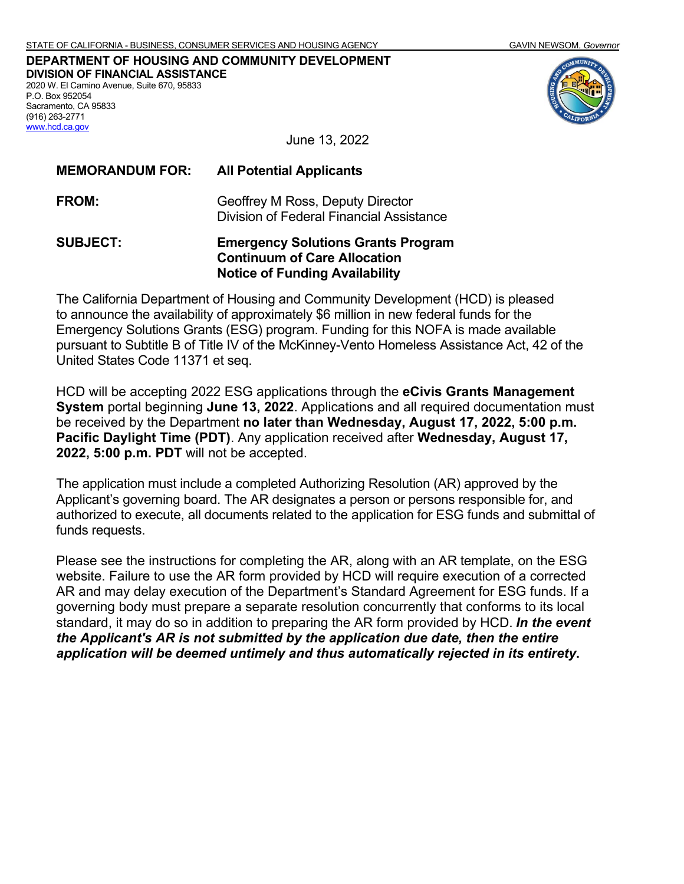[www.hcd.ca.gov](http://www.hcd.ca.gov/)

**DEPARTMENT OF HOUSING AND COMMUNITY DEVELOPMENT DIVISION OF FINANCIAL ASSISTANCE** 2020 W. El Camino Avenue, Suite 670, 95833 P.O. Box 952054 Sacramento, CA 95833 (916) 263-2771



June 13, 2022

| <b>MEMORANDUM FOR:</b> | <b>All Potential Applicants</b>                                              |
|------------------------|------------------------------------------------------------------------------|
| <b>FROM:</b>           | Geoffrey M Ross, Deputy Director<br>Division of Federal Financial Assistance |
| <b>SUBJECT:</b>        | <b>Emergency Solutions Grants Program</b>                                    |

**Continuum of Care Allocation Notice of Funding Availability**

The California Department of Housing and Community Development (HCD) is pleased to announce the availability of approximately \$6 million in new federal funds for the Emergency Solutions Grants (ESG) program. Funding for this NOFA is made available pursuant to Subtitle B of Title IV of the McKinney-Vento Homeless Assistance Act, 42 of the United States Code 11371 et seq.

HCD will be accepting 2022 ESG applications through the **eCivis Grants Management System** portal beginning **June 13, 2022**. Applications and all required documentation must be received by the Department **no later than Wednesday, August 17, 2022, 5:00 p.m. Pacific Daylight Time (PDT)**. Any application received after **Wednesday, August 17, 2022, 5:00 p.m. PDT** will not be accepted.

The application must include a completed Authorizing Resolution (AR) approved by the Applicant's governing board. The AR designates a person or persons responsible for, and authorized to execute, all documents related to the application for ESG funds and submittal of funds requests.

Please see the instructions for completing the AR, along with an AR template, on the ESG website. Failure to use the AR form provided by HCD will require execution of a corrected AR and may delay execution of the Department's Standard Agreement for ESG funds. If a governing body must prepare a separate resolution concurrently that conforms to its local standard, it may do so in addition to preparing the AR form provided by HCD. *In the event the Applicant's AR is not submitted by the application due date, then the entire application will be deemed untimely and thus automatically rejected in its entirety***.**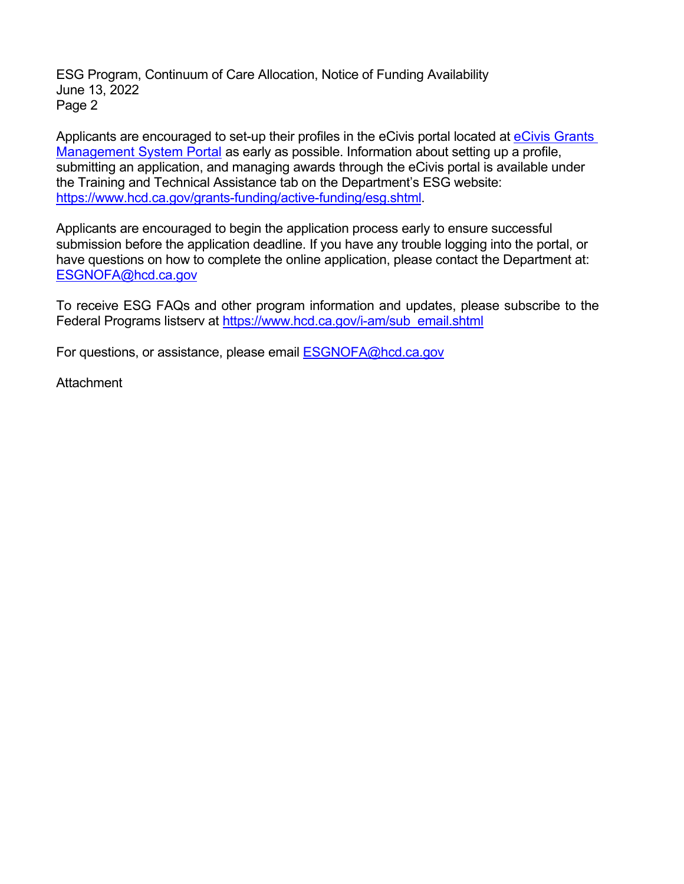ESG Program, Continuum of Care Allocation, Notice of Funding Availability June 13, 2022 Page 2

Applicants are encouraged to set-up their profiles in the eCivis portal located at eCivis Grants [Management System Portal](https://portal.ecivis.com/#/login) as early as possible. Information about setting up a profile, submitting an application, and managing awards through the eCivis portal is available under the Training and Technical Assistance tab on the Department's ESG website: [https://www.hcd.ca.gov/grants-funding/active-funding/esg.shtml.](https://www.hcd.ca.gov/grants-funding/active-funding/esg.shtml)

Applicants are encouraged to begin the application process early to ensure successful submission before the application deadline. If you have any trouble logging into the portal, or have questions on how to complete the online application, please contact the Department at: [ESGNOFA@hcd.ca.gov](mailto:ESGNOFA@hcd.ca.gov) 

To receive ESG FAQs and other program information and updates, please subscribe to the Federal Programs listserv at [https://www.hcd.ca.gov/i-am/sub\\_email.shtml](https://www.hcd.ca.gov/i-am/sub_email.shtml) 

For questions, or assistance, please email [ESGNOFA@hcd.ca.gov](mailto:ESGNOFA@hcd.ca.gov) 

**Attachment**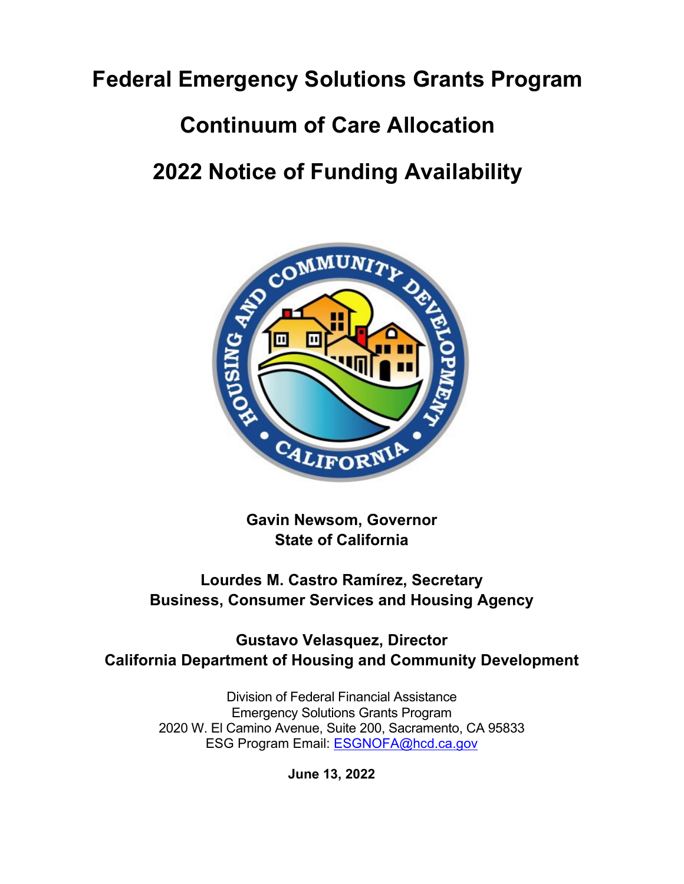# **Federal Emergency Solutions Grants Program**

### **Continuum of Care Allocation**

## **2022 Notice of Funding Availability**



**Gavin Newsom, Governor State of California**

### **Lourdes M. Castro Ramírez, Secretary Business, Consumer Services and Housing Agency**

**Gustavo Velasquez, Director California Department of Housing and Community Development**

> Division of Federal Financial Assistance Emergency Solutions Grants Program 2020 W. El Camino Avenue, Suite 200, Sacramento, CA 95833 ESG Program Email: [ESGNOFA@hcd.ca.gov](mailto:ESGNOFA@hcd.ca.gov)

> > **June 13, 2022**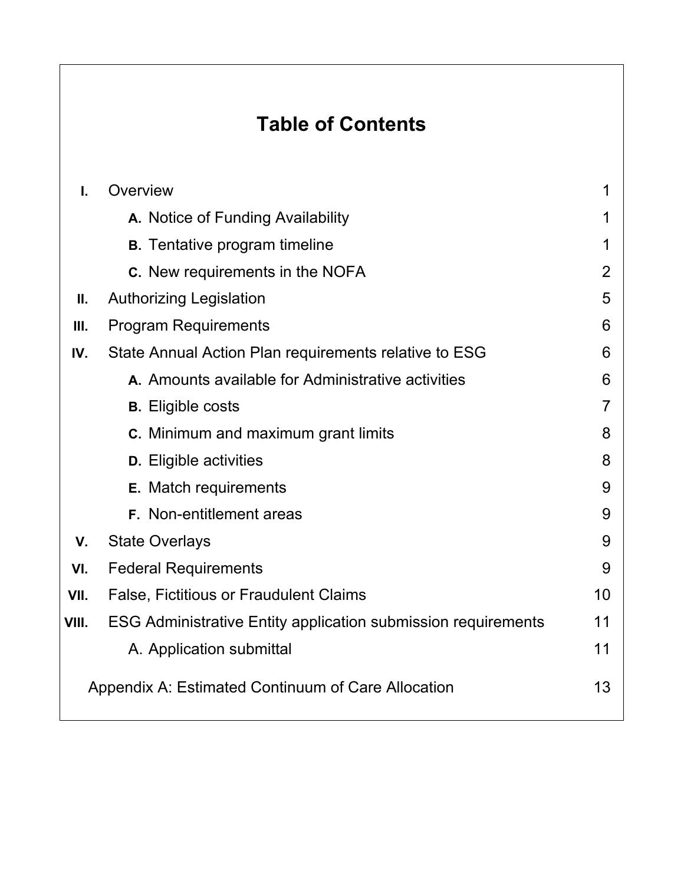### **Table of Contents**

| I.                                                       | Overview                                                             | 1              |  |  |
|----------------------------------------------------------|----------------------------------------------------------------------|----------------|--|--|
|                                                          | A. Notice of Funding Availability                                    | 1              |  |  |
|                                                          | <b>B.</b> Tentative program timeline                                 | 1              |  |  |
|                                                          | <b>C.</b> New requirements in the NOFA                               | $\overline{2}$ |  |  |
| Ⅱ.                                                       | <b>Authorizing Legislation</b>                                       | 5              |  |  |
| Ш.                                                       | <b>Program Requirements</b>                                          | 6              |  |  |
| IV.                                                      | State Annual Action Plan requirements relative to ESG                | 6              |  |  |
|                                                          | A. Amounts available for Administrative activities                   | 6              |  |  |
|                                                          | <b>B.</b> Eligible costs                                             | $\overline{7}$ |  |  |
|                                                          | <b>C.</b> Minimum and maximum grant limits                           | 8              |  |  |
|                                                          | <b>D.</b> Eligible activities                                        | 8              |  |  |
|                                                          | <b>E.</b> Match requirements                                         | 9              |  |  |
|                                                          | F. Non-entitlement areas                                             | 9              |  |  |
| V.                                                       | <b>State Overlays</b>                                                | 9              |  |  |
| VI.                                                      | <b>Federal Requirements</b>                                          | 9              |  |  |
| VII.                                                     | False, Fictitious or Fraudulent Claims                               | 10             |  |  |
| VIII.                                                    | <b>ESG Administrative Entity application submission requirements</b> | 11             |  |  |
|                                                          | A. Application submittal                                             | 11             |  |  |
| 13<br>Appendix A: Estimated Continuum of Care Allocation |                                                                      |                |  |  |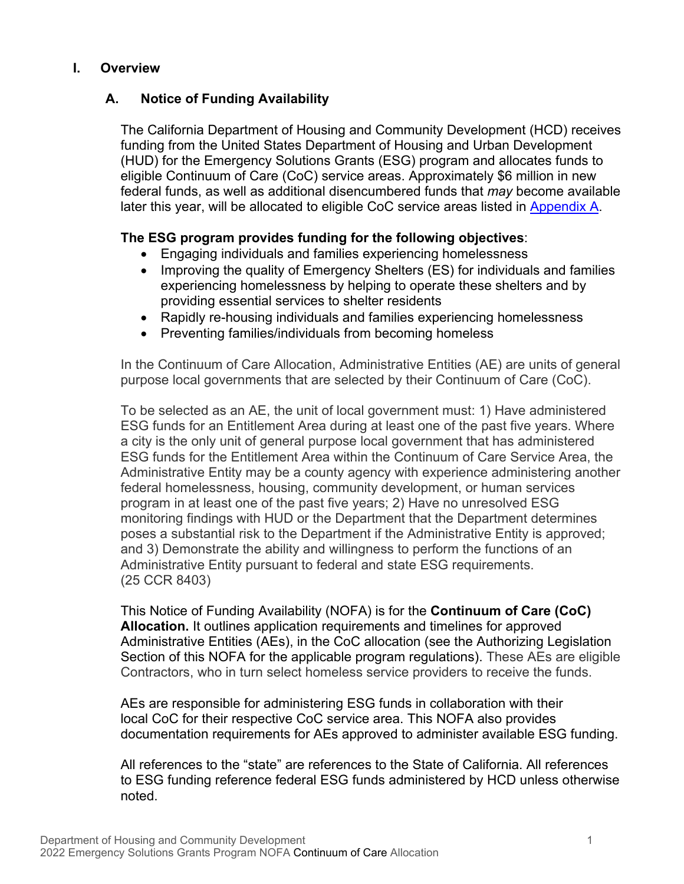#### **I. Overview**

#### **A. Notice of Funding Availability**

The California Department of Housing and Community Development (HCD) receives funding from the United States Department of Housing and Urban Development (HUD) for the Emergency Solutions Grants (ESG) program and allocates funds to eligible Continuum of Care (CoC) service areas. Approximately \$6 million in new federal funds, as well as additional disencumbered funds that *may* become available later this year, will be allocated to eligible CoC service areas listed in [Appendix A.](#page-16-0)

#### **The ESG program provides funding for the following objectives**:

- Engaging individuals and families experiencing homelessness
- Improving the quality of Emergency Shelters (ES) for individuals and families experiencing homelessness by helping to operate these shelters and by providing essential services to shelter residents
- Rapidly re-housing individuals and families experiencing homelessness
- Preventing families/individuals from becoming homeless

In the Continuum of Care Allocation, Administrative Entities (AE) are units of general purpose local governments that are selected by their Continuum of Care (CoC).

To be selected as an AE, the unit of local government must: 1) Have administered ESG funds for an Entitlement Area during at least one of the past five years. Where a city is the only unit of general purpose local government that has administered ESG funds for the Entitlement Area within the Continuum of Care Service Area, the Administrative Entity may be a county agency with experience administering another federal homelessness, housing, community development, or human services program in at least one of the past five years; 2) Have no unresolved ESG monitoring findings with HUD or the Department that the Department determines poses a substantial risk to the Department if the Administrative Entity is approved; and 3) Demonstrate the ability and willingness to perform the functions of an Administrative Entity pursuant to federal and state ESG requirements. (25 CCR 8403)

This Notice of Funding Availability (NOFA) is for the **Continuum of Care (CoC) Allocation.** It outlines application requirements and timelines for approved Administrative Entities (AEs), in the CoC allocation (see the Authorizing Legislation Section of this NOFA for the applicable program regulations). These AEs are eligible Contractors, who in turn select homeless service providers to receive the funds.

AEs are responsible for administering ESG funds in collaboration with their local CoC for their respective CoC service area. This NOFA also provides documentation requirements for AEs approved to administer available ESG funding.

All references to the "state" are references to the State of California. All references to ESG funding reference federal ESG funds administered by HCD unless otherwise noted.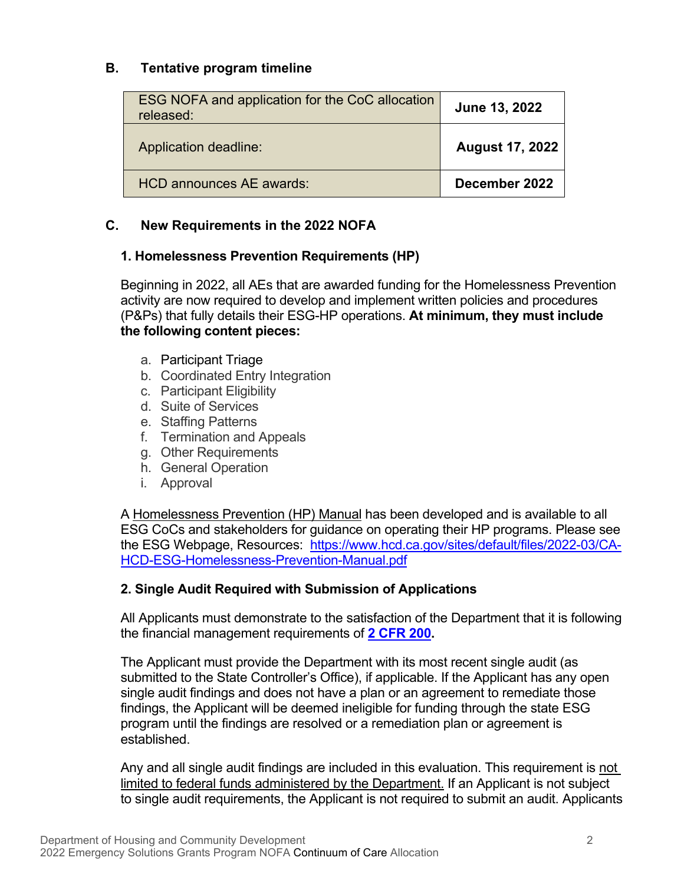#### **B. Tentative program timeline**

| ESG NOFA and application for the CoC allocation<br>released: | June 13, 2022          |
|--------------------------------------------------------------|------------------------|
| Application deadline:                                        | <b>August 17, 2022</b> |
| HCD announces AE awards:                                     | December 2022          |

#### **C. New Requirements in the 2022 NOFA**

#### **1. Homelessness Prevention Requirements (HP)**

Beginning in 2022, all AEs that are awarded funding for the Homelessness Prevention activity are now required to develop and implement written policies and procedures (P&Ps) that fully details their ESG-HP operations. **At minimum, they must include the following content pieces:** 

- a. Participant Triage
- b. Coordinated Entry Integration
- c. Participant Eligibility
- d. Suite of Services
- e. Staffing Patterns
- f. Termination and Appeals
- g. Other Requirements
- h. General Operation
- i. Approval

A Homelessness Prevention (HP) Manual has been developed and is available to all ESG CoCs and stakeholders for guidance on operating their HP programs. Please see the ESG Webpage, Resources: [https://www.hcd.ca.gov/sites/default/files/2022-03/CA-](https://www.hcd.ca.gov/sites/default/files/2022-03/CA-HCD-ESG-Homelessness-Prevention-Manual.pdf)[HCD-ESG-Homelessness-Prevention-Manual.pdf](https://www.hcd.ca.gov/sites/default/files/2022-03/CA-HCD-ESG-Homelessness-Prevention-Manual.pdf) 

#### **2. Single Audit Required with Submission of Applications**

All Applicants must demonstrate to the satisfaction of the Department that it is following the financial management requirements of **[2 CFR 200.](https://www.law.cornell.edu/cfr/text/2/part-200)** 

The Applicant must provide the Department with its most recent single audit (as submitted to the State Controller's Office), if applicable. If the Applicant has any open single audit findings and does not have a plan or an agreement to remediate those findings, the Applicant will be deemed ineligible for funding through the state ESG program until the findings are resolved or a remediation plan or agreement is established.

Any and all single audit findings are included in this evaluation. This requirement is not limited to federal funds administered by the Department. If an Applicant is not subject to single audit requirements, the Applicant is not required to submit an audit. Applicants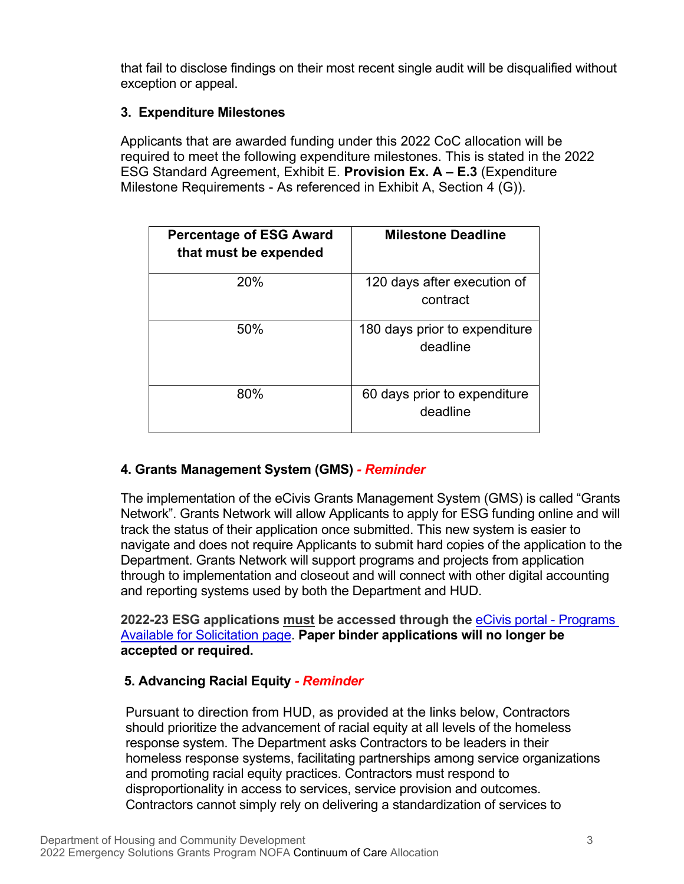that fail to disclose findings on their most recent single audit will be disqualified without exception or appeal.

#### **3. Expenditure Milestones**

Applicants that are awarded funding under this 2022 CoC allocation will be required to meet the following expenditure milestones. This is stated in the 2022 ESG Standard Agreement, Exhibit E. **Provision Ex. A – E.3** (Expenditure Milestone Requirements - As referenced in Exhibit A, Section 4 (G)).

| <b>Percentage of ESG Award</b><br>that must be expended | <b>Milestone Deadline</b>                 |
|---------------------------------------------------------|-------------------------------------------|
| 20%                                                     | 120 days after execution of<br>contract   |
| 50%                                                     | 180 days prior to expenditure<br>deadline |
| 80%                                                     | 60 days prior to expenditure<br>deadline  |

#### **4. Grants Management System (GMS)** *- Reminder*

The implementation of the eCivis Grants Management System (GMS) is called "Grants Network". Grants Network will allow Applicants to apply for ESG funding online and will track the status of their application once submitted. This new system is easier to navigate and does not require Applicants to submit hard copies of the application to the Department. Grants Network will support programs and projects from application through to implementation and closeout and will connect with other digital accounting and reporting systems used by both the Department and HUD.

**2022-23 ESG applications must be accessed through the** [eCivis portal - Programs](https://gn.ecivis.com/GO/gn_redir/T/vyjsqf2kekyx)  [Available for Solicitation page.](https://gn.ecivis.com/GO/gn_redir/T/vyjsqf2kekyx) **Paper binder applications will no longer be accepted or required.** 

#### **5. Advancing Racial Equity** *- Reminder*

Pursuant to direction from HUD, as provided at the links below, Contractors should prioritize the advancement of racial equity at all levels of the homeless response system. The Department asks Contractors to be leaders in their homeless response systems, facilitating partnerships among service organizations and promoting racial equity practices. Contractors must respond to disproportionality in access to services, service provision and outcomes. Contractors cannot simply rely on delivering a standardization of services to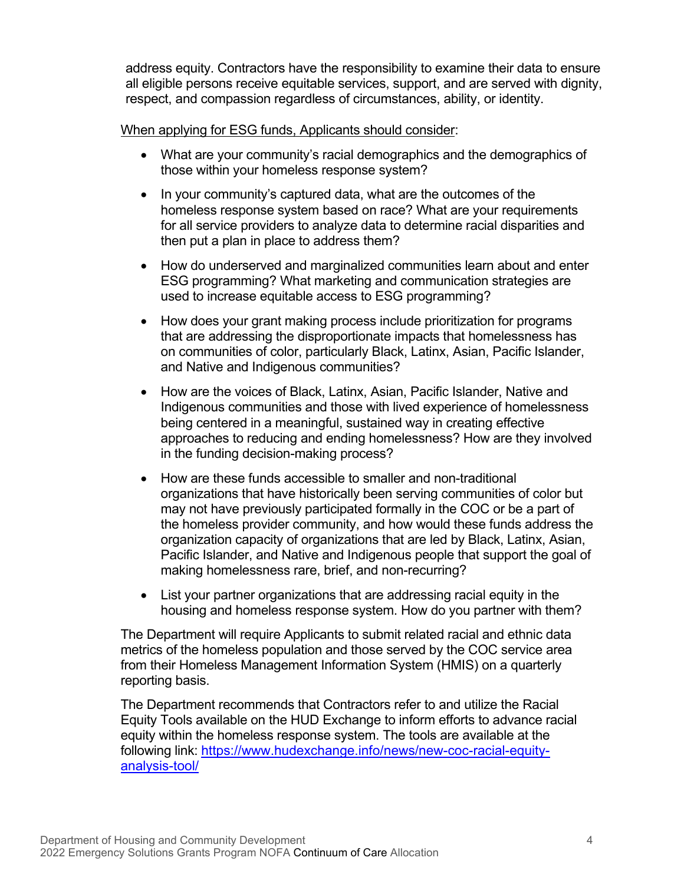address equity. Contractors have the responsibility to examine their data to ensure all eligible persons receive equitable services, support, and are served with dignity, respect, and compassion regardless of circumstances, ability, or identity.

#### When applying for ESG funds, Applicants should consider:

- What are your community's racial demographics and the demographics of those within your homeless response system?
- In your community's captured data, what are the outcomes of the homeless response system based on race? What are your requirements for all service providers to analyze data to determine racial disparities and then put a plan in place to address them?
- How do underserved and marginalized communities learn about and enter ESG programming? What marketing and communication strategies are used to increase equitable access to ESG programming?
- How does your grant making process include prioritization for programs that are addressing the disproportionate impacts that homelessness has on communities of color, particularly Black, Latinx, Asian, Pacific Islander, and Native and Indigenous communities?
- How are the voices of Black, Latinx, Asian, Pacific Islander, Native and Indigenous communities and those with lived experience of homelessness being centered in a meaningful, sustained way in creating effective approaches to reducing and ending homelessness? How are they involved in the funding decision-making process?
- How are these funds accessible to smaller and non-traditional organizations that have historically been serving communities of color but may not have previously participated formally in the COC or be a part of the homeless provider community, and how would these funds address the organization capacity of organizations that are led by Black, Latinx, Asian, Pacific Islander, and Native and Indigenous people that support the goal of making homelessness rare, brief, and non-recurring?
- List your partner organizations that are addressing racial equity in the housing and homeless response system. How do you partner with them?

The Department will require Applicants to submit related racial and ethnic data metrics of the homeless population and those served by the COC service area from their Homeless Management Information System (HMIS) on a quarterly reporting basis.

The Department recommends that Contractors refer to and utilize the Racial Equity Tools available on the HUD Exchange to inform efforts to advance racial equity within the homeless response system. The tools are available at the following link: [https://www.hudexchange.info/news/new-coc-racial-equity](https://www.hudexchange.info/news/new-coc-racial-equity-analysis-tool/)[analysis-tool/](https://www.hudexchange.info/news/new-coc-racial-equity-analysis-tool/)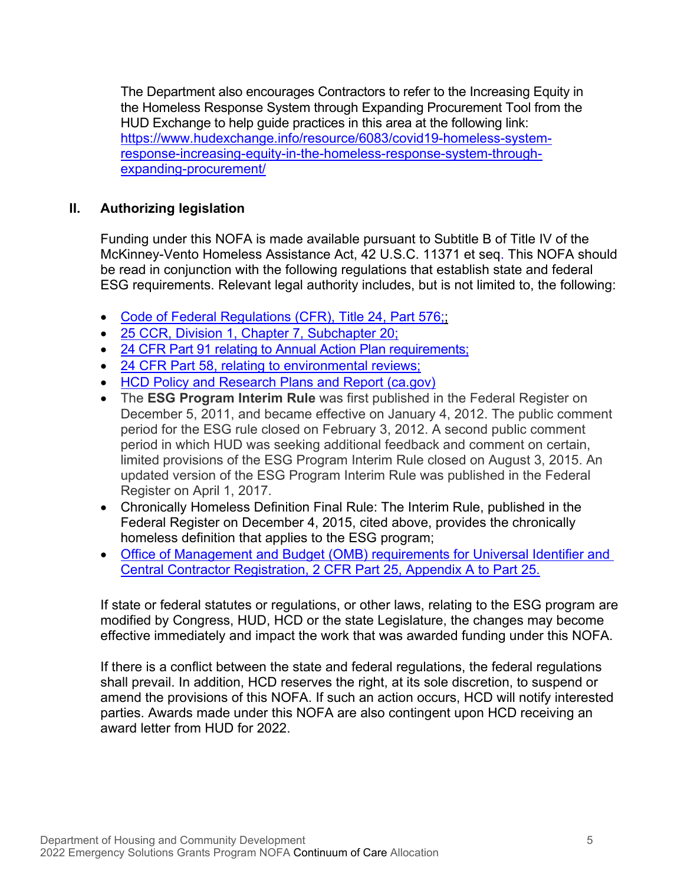The Department also encourages Contractors to refer to the Increasing Equity in the Homeless Response System through Expanding Procurement Tool from the HUD Exchange to help guide practices in this area at the following link: [https://www.hudexchange.info/resource/6083/covid19-homeless-system](https://www.hudexchange.info/resource/6083/covid19-homeless-system-response-increasing-equity-in-the-homeless-response-system-through-expanding-procurement/)[response-increasing-equity-in-the-homeless-response-system-through](https://www.hudexchange.info/resource/6083/covid19-homeless-system-response-increasing-equity-in-the-homeless-response-system-through-expanding-procurement/)[expanding-procurement/](https://www.hudexchange.info/resource/6083/covid19-homeless-system-response-increasing-equity-in-the-homeless-response-system-through-expanding-procurement/)

#### **II. Authorizing legislation**

Funding under this NOFA is made available pursuant to Subtitle B of Title IV of the McKinney-Vento Homeless Assistance Act, 42 U.S.C. 11371 et seq. This NOFA should be read in conjunction with the following regulations that establish state and federal ESG requirements. Relevant legal authority includes, but is not limited to, the following:

- Code of Federal Regulations (CFR), Title 24, Part 576;
- [25 CCR, Division 1, Chapter 7, Subchapter 20;](https://govt.westlaw.com/calregs/Browse/Home/California/CaliforniaCodeofRegulations?guid=I69448360D45511DEB97CF67CD0B99467&originationContext=documenttoc&transitionType=Default&contextData=(sc.Default))
- [24 CFR Part 91 relating to Annual Action Plan requirements;](https://www.govinfo.gov/content/pkg/FR-2011-12-05/pdf/2011-30938.pdf)
- [24 CFR Part 58, relating to environmental reviews;](https://www.law.cornell.edu/cfr/text/24/part-58)
- [HCD Policy and Research Plans and Report \(ca.gov\)](https://www.hcd.ca.gov/policy-research/plans-reports/index.shtml)
- The **ESG Program Interim Rule** was first published in the Federal Register on December 5, 2011, and became effective on January 4, 2012. The public comment period for the ESG rule closed on February 3, 2012. A second public comment period in which HUD was seeking additional feedback and comment on certain, limited provisions of the ESG Program Interim Rule closed on August 3, 2015. An updated version of the ESG Program Interim Rule was published in the Federal Register on April 1, 2017.
- Chronically Homeless Definition Final Rule: The Interim Rule, published in the Federal Register on December 4, 2015, cited above, provides the chronically homeless definition that applies to the ESG program;
- Office of Management and [Budget \(OMB\) requirements for Universal Identifier and](https://www.law.cornell.edu/cfr/text/2/appendix-A_to_part_25)  [Central Contractor Registration, 2 CFR Part 25, Appendix A to Part 25.](https://www.law.cornell.edu/cfr/text/2/appendix-A_to_part_25)

If state or federal statutes or regulations, or other laws, relating to the ESG program are modified by Congress, HUD, HCD or the state Legislature, the changes may become effective immediately and impact the work that was awarded funding under this NOFA.

If there is a conflict between the state and federal regulations, the federal regulations shall prevail. In addition, HCD reserves the right, at its sole discretion, to suspend or amend the provisions of this NOFA. If such an action occurs, HCD will notify interested parties. Awards made under this NOFA are also contingent upon HCD receiving an award letter from HUD for 2022.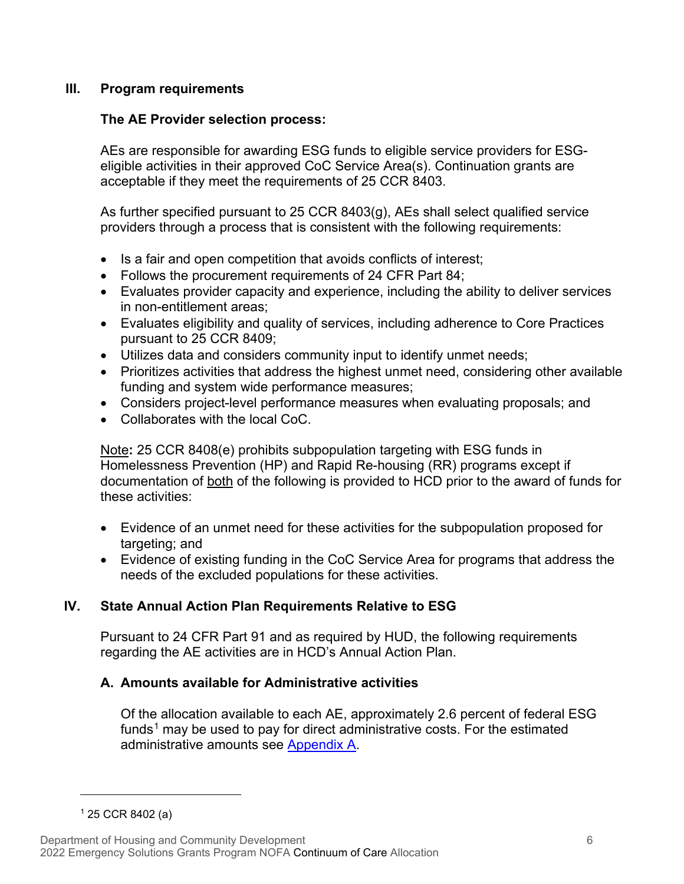#### **III. Program requirements**

#### **The AE Provider selection process:**

AEs are responsible for awarding ESG funds to eligible service providers for ESGeligible activities in their approved CoC Service Area(s). Continuation grants are acceptable if they meet the requirements of 25 CCR 8403.

As further specified pursuant to 25 CCR 8403(g), AEs shall select qualified service providers through a process that is consistent with the following requirements:

- Is a fair and open competition that avoids conflicts of interest;
- Follows the procurement requirements of 24 CFR Part 84;
- Evaluates provider capacity and experience, including the ability to deliver services in non-entitlement areas;
- Evaluates eligibility and quality of services, including adherence to Core Practices pursuant to 25 CCR 8409;
- Utilizes data and considers community input to identify unmet needs;
- Prioritizes activities that address the highest unmet need, considering other available funding and system wide performance measures;
- Considers project-level performance measures when evaluating proposals; and
- Collaborates with the local CoC.

Note**:** 25 CCR 8408(e) prohibits subpopulation targeting with ESG funds in Homelessness Prevention (HP) and Rapid Re-housing (RR) programs except if documentation of both of the following is provided to HCD prior to the award of funds for these activities:

- Evidence of an unmet need for these activities for the subpopulation proposed for targeting; and
- Evidence of existing funding in the CoC Service Area for programs that address the needs of the excluded populations for these activities.

#### **IV. State Annual Action Plan Requirements Relative to ESG**

Pursuant to 24 CFR Part 91 and as required by HUD, the following requirements regarding the AE activities are in HCD's Annual Action Plan.

#### **A. Amounts available for Administrative activities**

Of the allocation available to each AE, approximately 2.6 percent of federal ESG funds<sup>[1](#page-9-0)</sup> may be used to pay for direct administrative costs. For the estimated administrative amounts see [Appendix A.](#page-16-1)

<span id="page-9-0"></span> $125$  CCR 8402 (a)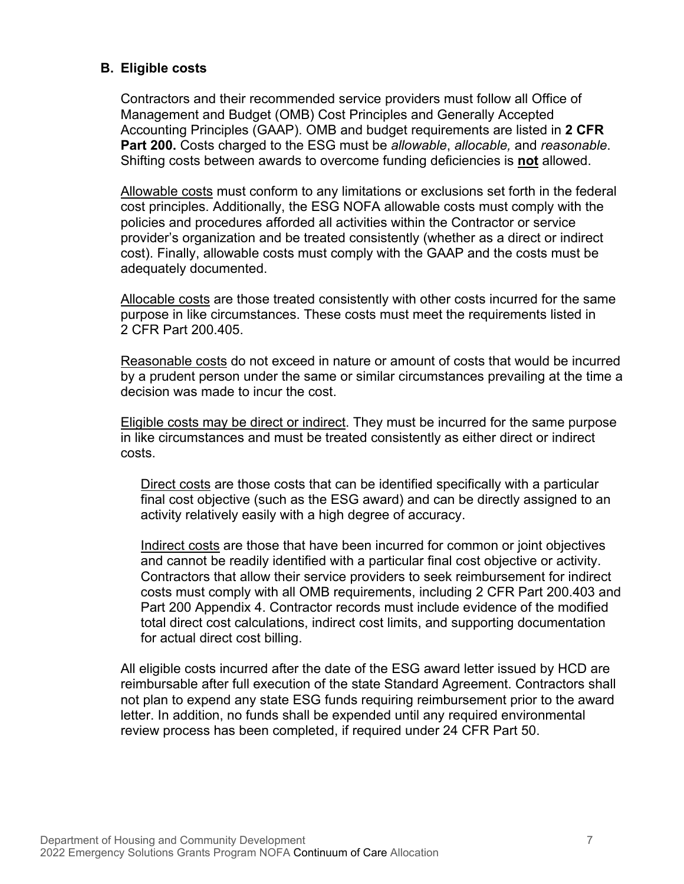#### **B. Eligible costs**

Contractors and their recommended service providers must follow all Office of Management and Budget (OMB) Cost Principles and Generally Accepted Accounting Principles (GAAP). OMB and budget requirements are listed in **2 CFR Part 200.** Costs charged to the ESG must be *allowable*, *allocable,* and *reasonable*. Shifting costs between awards to overcome funding deficiencies is **not** allowed.

Allowable costs must conform to any limitations or exclusions set forth in the federal cost principles. Additionally, the ESG NOFA allowable costs must comply with the policies and procedures afforded all activities within the Contractor or service provider's organization and be treated consistently (whether as a direct or indirect cost). Finally, allowable costs must comply with the GAAP and the costs must be adequately documented.

Allocable costs are those treated consistently with other costs incurred for the same purpose in like circumstances. These costs must meet the requirements listed in 2 CFR Part 200.405.

Reasonable costs do not exceed in nature or amount of costs that would be incurred by a prudent person under the same or similar circumstances prevailing at the time a decision was made to incur the cost.

Eligible costs may be direct or indirect. They must be incurred for the same purpose in like circumstances and must be treated consistently as either direct or indirect costs.

Direct costs are those costs that can be identified specifically with a particular final cost objective (such as the ESG award) and can be directly assigned to an activity relatively easily with a high degree of accuracy.

Indirect costs are those that have been incurred for common or joint objectives and cannot be readily identified with a particular final cost objective or activity. Contractors that allow their service providers to seek reimbursement for indirect costs must comply with all OMB requirements, including 2 CFR Part 200.403 and Part 200 Appendix 4. Contractor records must include evidence of the modified total direct cost calculations, indirect cost limits, and supporting documentation for actual direct cost billing.

All eligible costs incurred after the date of the ESG award letter issued by HCD are reimbursable after full execution of the state Standard Agreement. Contractors shall not plan to expend any state ESG funds requiring reimbursement prior to the award letter. In addition, no funds shall be expended until any required environmental review process has been completed, if required under 24 CFR Part 50.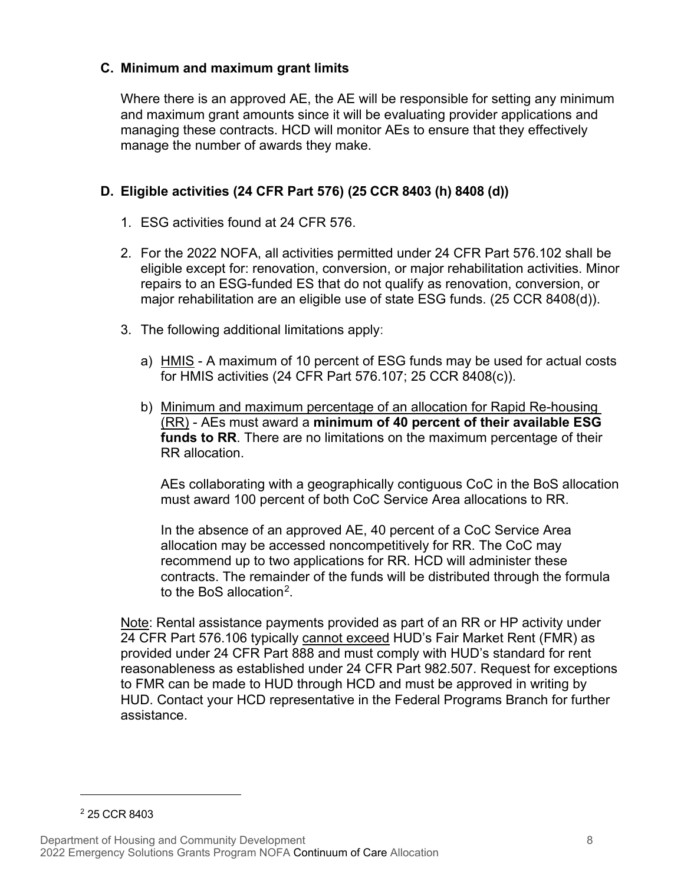#### **C. Minimum and maximum grant limits**

Where there is an approved AE, the AE will be responsible for setting any minimum and maximum grant amounts since it will be evaluating provider applications and managing these contracts. HCD will monitor AEs to ensure that they effectively manage the number of awards they make.

#### **D. Eligible activities (24 CFR Part 576) (25 CCR 8403 (h) 8408 (d))**

- 1. ESG activities found at 24 CFR 576.
- 2. For the 2022 NOFA, all activities permitted under 24 CFR Part 576.102 shall be eligible except for: renovation, conversion, or major rehabilitation activities. Minor repairs to an ESG-funded ES that do not qualify as renovation, conversion, or major rehabilitation are an eligible use of state ESG funds. (25 CCR 8408(d)).
- 3. The following additional limitations apply:
	- a) HMIS A maximum of 10 percent of ESG funds may be used for actual costs for HMIS activities (24 CFR Part 576.107; 25 CCR 8408(c)).
	- b) Minimum and maximum percentage of an allocation for Rapid Re-housing (RR) - AEs must award a **minimum of 40 percent of their available ESG funds to RR**. There are no limitations on the maximum percentage of their RR allocation.

AEs collaborating with a geographically contiguous CoC in the BoS allocation must award 100 percent of both CoC Service Area allocations to RR.

In the absence of an approved AE, 40 percent of a CoC Service Area allocation may be accessed noncompetitively for RR. The CoC may recommend up to two applications for RR. HCD will administer these contracts. The remainder of the funds will be distributed through the formula to the BoS allocation<sup>[2](#page-11-0)</sup>.

Note: Rental assistance payments provided as part of an RR or HP activity under 24 CFR Part 576.106 typically cannot exceed HUD's Fair Market Rent (FMR) as provided under 24 CFR Part 888 and must comply with HUD's standard for rent reasonableness as established under 24 CFR Part 982.507. Request for exceptions to FMR can be made to HUD through HCD and must be approved in writing by HUD. Contact your HCD representative in the Federal Programs Branch for further assistance.

<span id="page-11-0"></span><sup>2</sup> 25 CCR 8403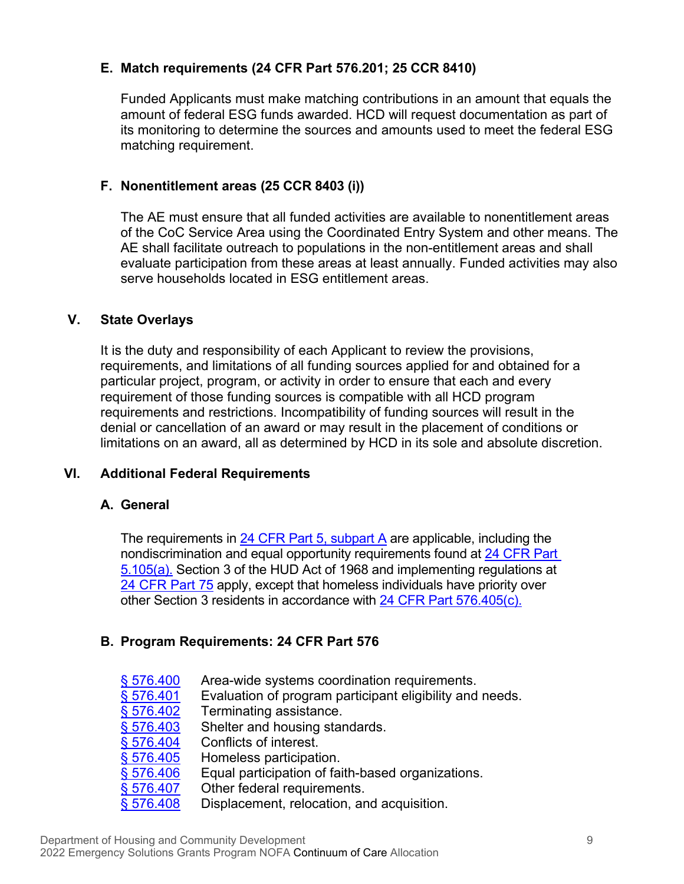#### **E. Match requirements (24 CFR Part 576.201; 25 CCR 8410)**

Funded Applicants must make matching contributions in an amount that equals the amount of federal ESG funds awarded. HCD will request documentation as part of its monitoring to determine the sources and amounts used to meet the federal ESG matching requirement.

#### **F. Nonentitlement areas (25 CCR 8403 (i))**

The AE must ensure that all funded activities are available to nonentitlement areas of the CoC Service Area using the Coordinated Entry System and other means. The AE shall facilitate outreach to populations in the non-entitlement areas and shall evaluate participation from these areas at least annually. Funded activities may also serve households located in FSG entitlement areas.

#### **V. State Overlays**

It is the duty and responsibility of each Applicant to review the provisions, requirements, and limitations of all funding sources applied for and obtained for a particular project, program, or activity in order to ensure that each and every requirement of those funding sources is compatible with all HCD program requirements and restrictions. Incompatibility of funding sources will result in the denial or cancellation of an award or may result in the placement of conditions or limitations on an award, all as determined by HCD in its sole and absolute discretion.

#### **VI. Additional Federal Requirements**

#### **A. General**

The requirements in [24 CFR Part 5, subpart A](https://www.ecfr.gov/current/title-24/part-5/subpart-A) are applicable, including the nondiscrimination and equal opportunity requirements found at 24 CFR [Part](https://www.ecfr.gov/current/title-24/subtitle-A/part-5/subpart-A/section-5.105)  [5.105\(a\).](https://www.ecfr.gov/current/title-24/subtitle-A/part-5/subpart-A/section-5.105) Section 3 of the HUD Act of 1968 and implementing regulations at 24 [CFR Part 75](https://www.ecfr.gov/current/title-24/part-75) apply, except that homeless individuals have priority over other Section 3 residents in accordance with [24 CFR Part](https://www.ecfr.gov/current/title-24/subtitle-B/chapter-V/subchapter-C/part-576/subpart-E/section-576.405) 576.405(c).

#### **B. Program Requirements: 24 CFR Part 576**

- § 576.400 Area-wide systems coordination requirements.<br>§ 576.401 Evaluation of program participant eligibility and
	- Evaluation of program participant eligibility and needs.
- <u>§ 576.402</u> Terminating assistance.<br>§ 576.403 Shelter and housing star
- $\frac{\$~576.403}{\$~576.404}$  Shelter and housing standards.
- <u>§ 576.404</u> Conflicts of interest.<br>§ 576.405 Homeless participati
- Homeless participation.
- [§ 576.406](https://www.ecfr.gov/current/title-24/subtitle-B/chapter-V/subchapter-C/part-576/subpart-E/section-576.406) Equal participation of faith-based organizations.
- [§ 576.407](https://www.ecfr.gov/current/title-24/subtitle-B/chapter-V/subchapter-C/part-576/subpart-E/section-576.407) Other federal requirements.
- $\S$  576.408 Displacement, relocation, and acquisition.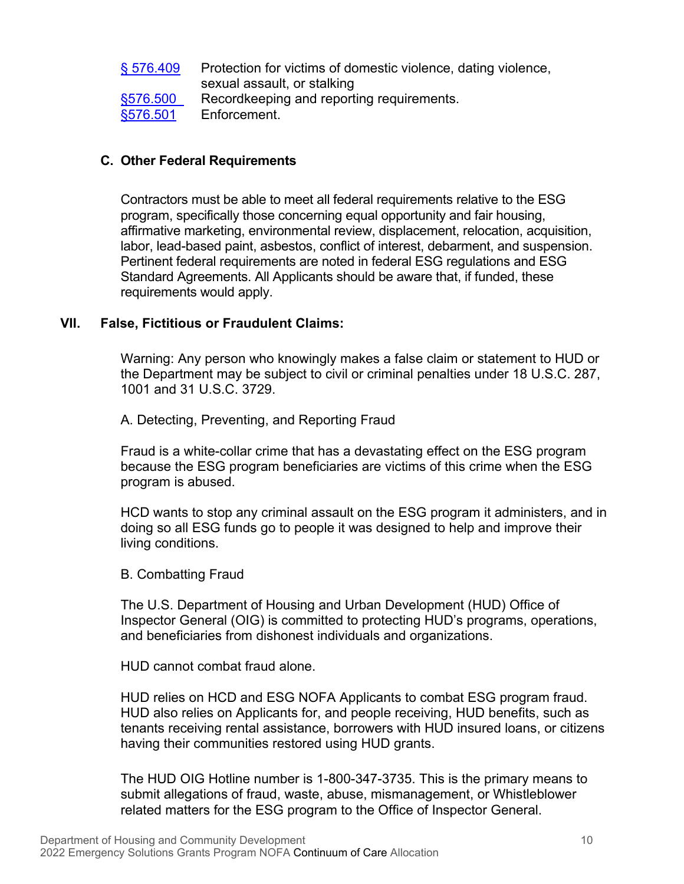| S 576.409 | Protection for victims of domestic violence, dating violence, |
|-----------|---------------------------------------------------------------|
|           | sexual assault, or stalking                                   |
| §576.500  | Recordkeeping and reporting requirements.                     |
| §576.501  | Enforcement.                                                  |

#### **C. Other Federal Requirements**

Contractors must be able to meet all federal requirements relative to the ESG program, specifically those concerning equal opportunity and fair housing, affirmative marketing, environmental review, displacement, relocation, acquisition, labor, lead-based paint, asbestos, conflict of interest, debarment, and suspension. Pertinent federal requirements are noted in federal ESG regulations and ESG Standard Agreements. All Applicants should be aware that, if funded, these requirements would apply.

#### **VII. False, Fictitious or Fraudulent Claims:**

Warning: Any person who knowingly makes a false claim or statement to HUD or the Department may be subject to civil or criminal penalties under 18 U.S.C. 287, 1001 and 31 U.S.C. 3729.

A. Detecting, Preventing, and Reporting Fraud

Fraud is a white-collar crime that has a devastating effect on the ESG program because the ESG program beneficiaries are victims of this crime when the ESG program is abused.

HCD wants to stop any criminal assault on the ESG program it administers, and in doing so all ESG funds go to people it was designed to help and improve their living conditions.

#### B. Combatting Fraud

The U.S. Department of Housing and Urban Development (HUD) Office of Inspector General (OIG) is committed to protecting HUD's programs, operations, and beneficiaries from dishonest individuals and organizations.

HUD cannot combat fraud alone.

HUD relies on HCD and ESG NOFA Applicants to combat ESG program fraud. HUD also relies on Applicants for, and people receiving, HUD benefits, such as tenants receiving rental assistance, borrowers with HUD insured loans, or citizens having their communities restored using HUD grants.

The HUD OIG Hotline number is 1-800-347-3735. This is the primary means to submit allegations of fraud, waste, abuse, mismanagement, or Whistleblower related matters for the ESG program to the Office of Inspector General.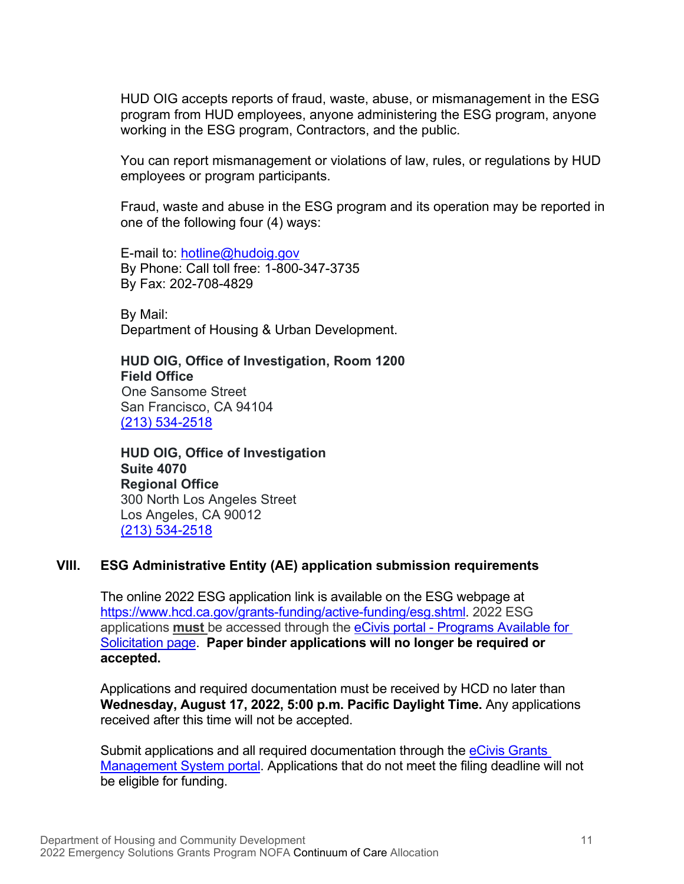HUD OIG accepts reports of fraud, waste, abuse, or mismanagement in the ESG program from HUD employees, anyone administering the ESG program, anyone working in the ESG program, Contractors, and the public.

You can report mismanagement or violations of law, rules, or regulations by HUD employees or program participants.

Fraud, waste and abuse in the ESG program and its operation may be reported in one of the following four (4) ways:

E-mail to: [hotline@hudoig.gov](mailto:hotline@hudoig.gov)  By Phone: Call toll free: 1-800-347-3735 By Fax: 202-708-4829

By Mail: Department of Housing & Urban Development.

**HUD OIG, Office of Investigation, Room 1200 Field Office** One Sansome Street San Francisco, CA 94104 [\(213\) 534-2518](tel:(213)%20534-2518)

**HUD OIG, Office of Investigation Suite 4070 Regional Office** 300 North Los Angeles Street Los Angeles, CA 90012 [\(213\) 534-2518](tel:(213)%20534-2518)

#### **VIII. ESG Administrative Entity (AE) application submission requirements**

The online 2022 ESG application link is available on the ESG webpage at [https://www.hcd.ca.gov/grants-funding/active-funding/esg.shtml.](https://www.hcd.ca.gov/grants-funding/active-funding/esg.shtml) 2022 ESG applications **must** be accessed through the [eCivis portal - Programs Available for](https://gn.ecivis.com/GO/gn_redir/T/vyjsqf2kekyx)  [Solicitation page.](https://gn.ecivis.com/GO/gn_redir/T/vyjsqf2kekyx) **Paper binder applications will no longer be required or accepted.** 

Applications and required documentation must be received by HCD no later than **Wednesday, August 17, 2022, 5:00 p.m. Pacific Daylight Time.** Any applications received after this time will not be accepted.

Submit applications and all required documentation through the [eCivis Grants](https://portal.ecivis.com/#/login)  [Management System portal.](https://portal.ecivis.com/#/login) Applications that do not meet the filing deadline will not be eligible for funding.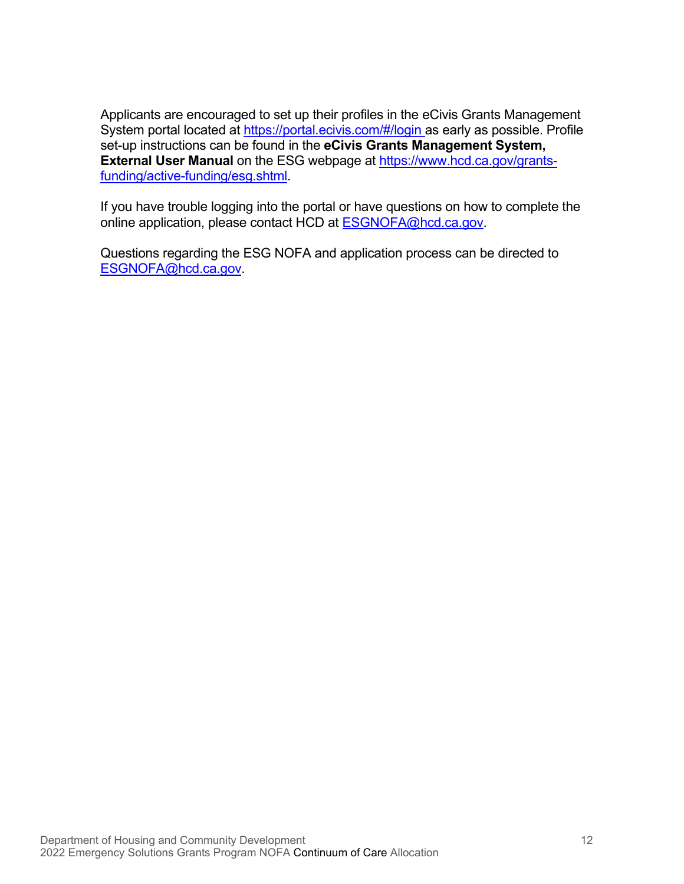Applicants are encouraged to set up their profiles in the eCivis Grants Management System portal located at<https://portal.ecivis.com/#/login> as early as possible. Profile set-up instructions can be found in the **[eCivis Grants Management System,](https://www.hcd.ca.gov/grants-funding/active-funding/esg/docs/ecivis_grants_network_hcd_external_user_manual_12182019.pdf)  [External User Manual](https://www.hcd.ca.gov/grants-funding/active-funding/esg/docs/ecivis_grants_network_hcd_external_user_manual_12182019.pdf)** on the ESG webpage at [https://www.hcd.ca.gov/grants](https://www.hcd.ca.gov/grants-funding/active-funding/esg.shtml)[funding/active-funding/esg.shtml.](https://www.hcd.ca.gov/grants-funding/active-funding/esg.shtml)

If you have trouble logging into the portal or have questions on how to complete the online application, please contact HCD at [ESGNOFA@hcd.ca.gov.](mailto:ESGNOFA@hcd.ca.gov)

Questions regarding the ESG NOFA and application process can be directed to [ESGNOFA@hcd.ca.gov.](mailto:ESGNOFA@hcd.ca.gov)